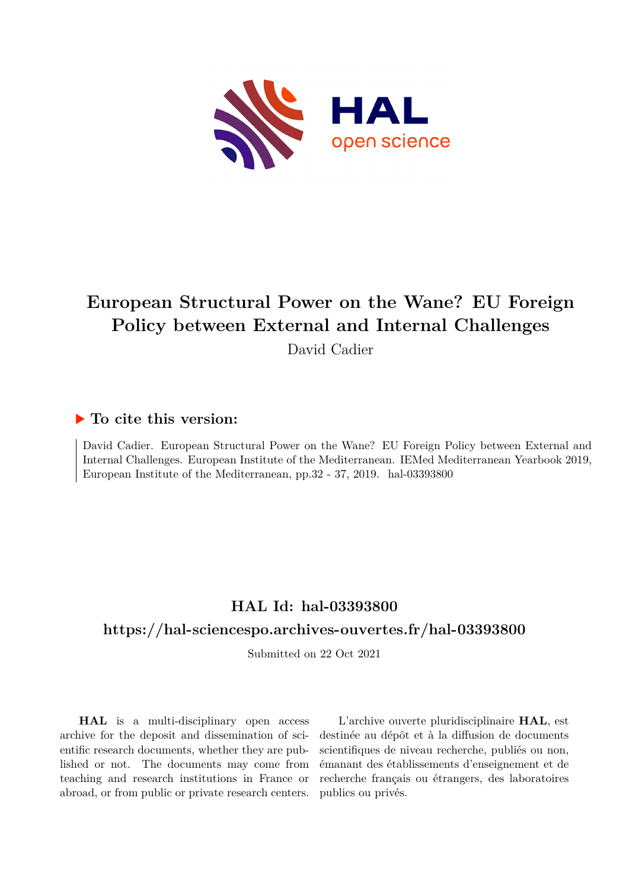

## **European Structural Power on the Wane? EU Foreign Policy between External and Internal Challenges**

David Cadier

## **To cite this version:**

David Cadier. European Structural Power on the Wane? EU Foreign Policy between External and Internal Challenges. European Institute of the Mediterranean. IEMed Mediterranean Yearbook 2019, European Institute of the Mediterranean, pp.32 - 37, 2019. hal-03393800

## **HAL Id: hal-03393800**

## **<https://hal-sciencespo.archives-ouvertes.fr/hal-03393800>**

Submitted on 22 Oct 2021

**HAL** is a multi-disciplinary open access archive for the deposit and dissemination of scientific research documents, whether they are published or not. The documents may come from teaching and research institutions in France or abroad, or from public or private research centers.

L'archive ouverte pluridisciplinaire **HAL**, est destinée au dépôt et à la diffusion de documents scientifiques de niveau recherche, publiés ou non, émanant des établissements d'enseignement et de recherche français ou étrangers, des laboratoires publics ou privés.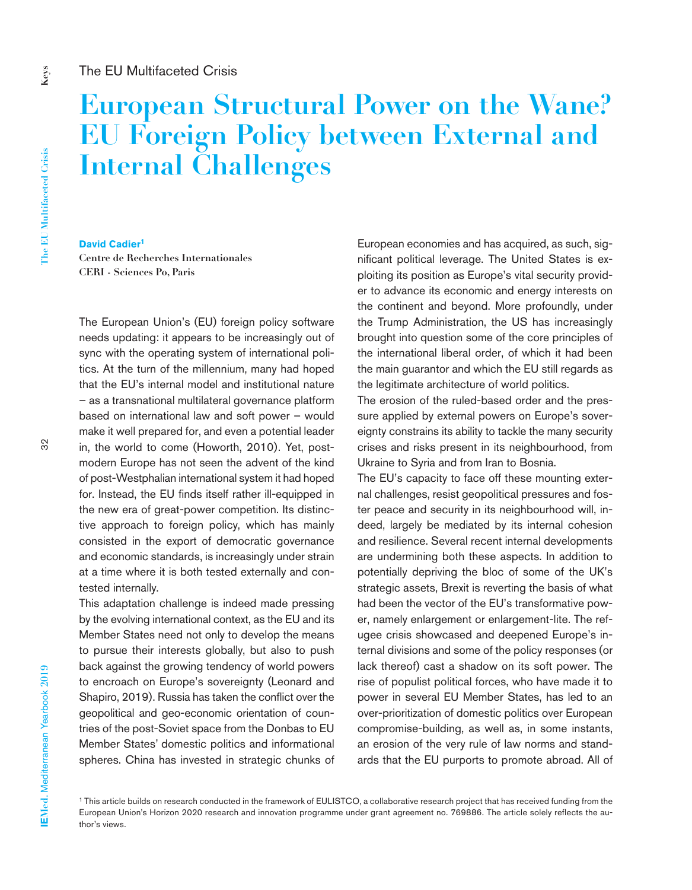# **European Structural Power on the Wane? EU Foreign Policy between External and Internal Challenges**

**Keys**

#### **David Cadier<sup>1</sup>**

**Centre de Recherches Internationales CERI - Sciences Po, Paris**

The European Union's (EU) foreign policy software needs updating: it appears to be increasingly out of sync with the operating system of international politics. At the turn of the millennium, many had hoped that the EU's internal model and institutional nature – as a transnational multilateral governance platform based on international law and soft power – would make it well prepared for, and even a potential leader in, the world to come (Howorth, 2010). Yet, postmodern Europe has not seen the advent of the kind of post-Westphalian international system it had hoped for. Instead, the EU finds itself rather ill-equipped in the new era of great-power competition. Its distinctive approach to foreign policy, which has mainly consisted in the export of democratic governance and economic standards, is increasingly under strain at a time where it is both tested externally and contested internally.

This adaptation challenge is indeed made pressing by the evolving international context, as the EU and its Member States need not only to develop the means to pursue their interests globally, but also to push back against the growing tendency of world powers to encroach on Europe's sovereignty (Leonard and Shapiro, 2019). Russia has taken the conflict over the geopolitical and geo-economic orientation of countries of the post-Soviet space from the Donbas to EU Member States' domestic politics and informational spheres. China has invested in strategic chunks of European economies and has acquired, as such, significant political leverage. The United States is exploiting its position as Europe's vital security provider to advance its economic and energy interests on the continent and beyond. More profoundly, under the Trump Administration, the US has increasingly brought into question some of the core principles of the international liberal order, of which it had been the main guarantor and which the EU still regards as the legitimate architecture of world politics.

The erosion of the ruled-based order and the pressure applied by external powers on Europe's sovereignty constrains its ability to tackle the many security crises and risks present in its neighbourhood, from Ukraine to Syria and from Iran to Bosnia.

The EU's capacity to face off these mounting external challenges, resist geopolitical pressures and foster peace and security in its neighbourhood will, indeed, largely be mediated by its internal cohesion and resilience. Several recent internal developments are undermining both these aspects. In addition to potentially depriving the bloc of some of the UK's strategic assets, Brexit is reverting the basis of what had been the vector of the EU's transformative power, namely enlargement or enlargement-lite. The refugee crisis showcased and deepened Europe's internal divisions and some of the policy responses (or lack thereof) cast a shadow on its soft power. The rise of populist political forces, who have made it to power in several EU Member States, has led to an over-prioritization of domestic politics over European compromise-building, as well as, in some instants, an erosion of the very rule of law norms and standards that the EU purports to promote abroad. All of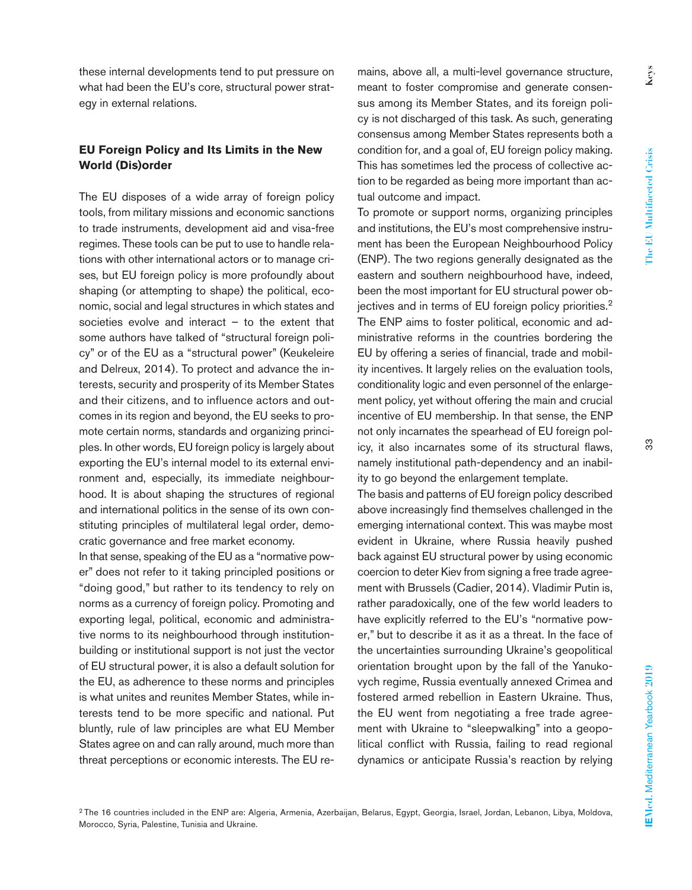these internal developments tend to put pressure on what had been the EU's core, structural power strategy in external relations.

### **EU Foreign Policy and Its Limits in the New World (Dis)order**

The EU disposes of a wide array of foreign policy tools, from military missions and economic sanctions to trade instruments, development aid and visa-free regimes. These tools can be put to use to handle relations with other international actors or to manage crises, but EU foreign policy is more profoundly about shaping (or attempting to shape) the political, economic, social and legal structures in which states and societies evolve and interact – to the extent that some authors have talked of "structural foreign policy" or of the EU as a "structural power" (Keukeleire and Delreux, 2014). To protect and advance the interests, security and prosperity of its Member States and their citizens, and to influence actors and outcomes in its region and beyond, the EU seeks to promote certain norms, standards and organizing principles. In other words, EU foreign policy is largely about exporting the EU's internal model to its external environment and, especially, its immediate neighbourhood. It is about shaping the structures of regional and international politics in the sense of its own constituting principles of multilateral legal order, democratic governance and free market economy.

In that sense, speaking of the EU as a "normative power" does not refer to it taking principled positions or "doing good," but rather to its tendency to rely on norms as a currency of foreign policy. Promoting and exporting legal, political, economic and administrative norms to its neighbourhood through institutionbuilding or institutional support is not just the vector of EU structural power, it is also a default solution for the EU, as adherence to these norms and principles is what unites and reunites Member States, while interests tend to be more specific and national. Put bluntly, rule of law principles are what EU Member States agree on and can rally around, much more than threat perceptions or economic interests. The EU re-

mains, above all, a multi-level governance structure, meant to foster compromise and generate consensus among its Member States, and its foreign policy is not discharged of this task. As such, generating consensus among Member States represents both a condition for, and a goal of, EU foreign policy making. This has sometimes led the process of collective action to be regarded as being more important than actual outcome and impact.

To promote or support norms, organizing principles and institutions, the EU's most comprehensive instrument has been the European Neighbourhood Policy (ENP). The two regions generally designated as the eastern and southern neighbourhood have, indeed, been the most important for EU structural power objectives and in terms of EU foreign policy priorities.<sup>2</sup> The ENP aims to foster political, economic and administrative reforms in the countries bordering the EU by offering a series of financial, trade and mobility incentives. It largely relies on the evaluation tools, conditionality logic and even personnel of the enlargement policy, yet without offering the main and crucial incentive of EU membership. In that sense, the ENP not only incarnates the spearhead of EU foreign policy, it also incarnates some of its structural flaws, namely institutional path-dependency and an inability to go beyond the enlargement template.

The basis and patterns of EU foreign policy described above increasingly find themselves challenged in the emerging international context. This was maybe most evident in Ukraine, where Russia heavily pushed back against EU structural power by using economic coercion to deter Kiev from signing a free trade agreement with Brussels (Cadier, 2014). Vladimir Putin is, rather paradoxically, one of the few world leaders to have explicitly referred to the EU's "normative power," but to describe it as it as a threat. In the face of the uncertainties surrounding Ukraine's geopolitical orientation brought upon by the fall of the Yanukovych regime, Russia eventually annexed Crimea and fostered armed rebellion in Eastern Ukraine. Thus, the EU went from negotiating a free trade agreement with Ukraine to "sleepwalking" into a geopolitical conflict with Russia, failing to read regional dynamics or anticipate Russia's reaction by relying က္က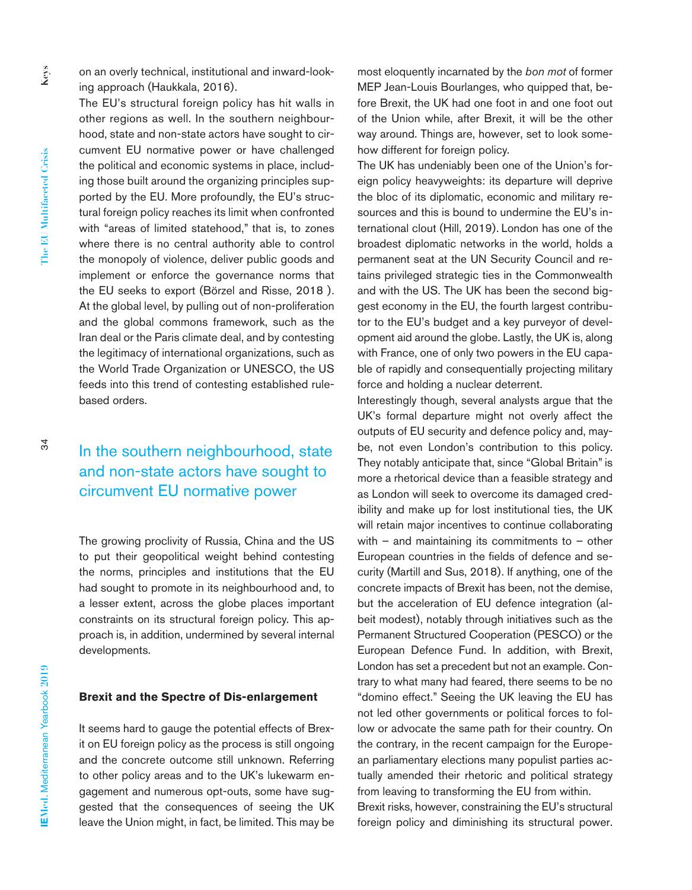on an overly technical, institutional and inward-looking approach (Haukkala, 2016).

The EU's structural foreign policy has hit walls in other regions as well. In the southern neighbourhood, state and non-state actors have sought to circumvent EU normative power or have challenged the political and economic systems in place, including those built around the organizing principles supported by the EU. More profoundly, the EU's structural foreign policy reaches its limit when confronted with "areas of limited statehood," that is, to zones where there is no central authority able to control the monopoly of violence, deliver public goods and implement or enforce the governance norms that the EU seeks to export (Börzel and Risse, 2018 ). At the global level, by pulling out of non-proliferation and the global commons framework, such as the Iran deal or the Paris climate deal, and by contesting the legitimacy of international organizations, such as the World Trade Organization or UNESCO, the US feeds into this trend of contesting established rulebased orders.

## In the southern neighbourhood, state and non-state actors have sought to circumvent EU normative power

The growing proclivity of Russia, China and the US to put their geopolitical weight behind contesting the norms, principles and institutions that the EU had sought to promote in its neighbourhood and, to a lesser extent, across the globe places important constraints on its structural foreign policy. This approach is, in addition, undermined by several internal developments.

#### **Brexit and the Spectre of Dis-enlargement**

It seems hard to gauge the potential effects of Brexit on EU foreign policy as the process is still ongoing and the concrete outcome still unknown. Referring to other policy areas and to the UK's lukewarm engagement and numerous opt-outs, some have suggested that the consequences of seeing the UK leave the Union might, in fact, be limited. This may be most eloquently incarnated by the *bon mot* of former MEP Jean-Louis Bourlanges, who quipped that, before Brexit, the UK had one foot in and one foot out of the Union while, after Brexit, it will be the other way around. Things are, however, set to look somehow different for foreign policy.

The UK has undeniably been one of the Union's foreign policy heavyweights: its departure will deprive the bloc of its diplomatic, economic and military resources and this is bound to undermine the EU's international clout (Hill, 2019). London has one of the broadest diplomatic networks in the world, holds a permanent seat at the UN Security Council and retains privileged strategic ties in the Commonwealth and with the US. The UK has been the second biggest economy in the EU, the fourth largest contributor to the EU's budget and a key purveyor of development aid around the globe. Lastly, the UK is, along with France, one of only two powers in the EU capable of rapidly and consequentially projecting military force and holding a nuclear deterrent.

Interestingly though, several analysts argue that the UK's formal departure might not overly affect the outputs of EU security and defence policy and, maybe, not even London's contribution to this policy. They notably anticipate that, since "Global Britain" is more a rhetorical device than a feasible strategy and as London will seek to overcome its damaged credibility and make up for lost institutional ties, the UK will retain major incentives to continue collaborating with – and maintaining its commitments to – other European countries in the fields of defence and security (Martill and Sus, 2018). If anything, one of the concrete impacts of Brexit has been, not the demise, but the acceleration of EU defence integration (albeit modest), notably through initiatives such as the Permanent Structured Cooperation (PESCO) or the European Defence Fund. In addition, with Brexit, London has set a precedent but not an example. Contrary to what many had feared, there seems to be no "domino effect." Seeing the UK leaving the EU has not led other governments or political forces to follow or advocate the same path for their country. On the contrary, in the recent campaign for the European parliamentary elections many populist parties actually amended their rhetoric and political strategy from leaving to transforming the EU from within. Brexit risks, however, constraining the EU's structural foreign policy and diminishing its structural power.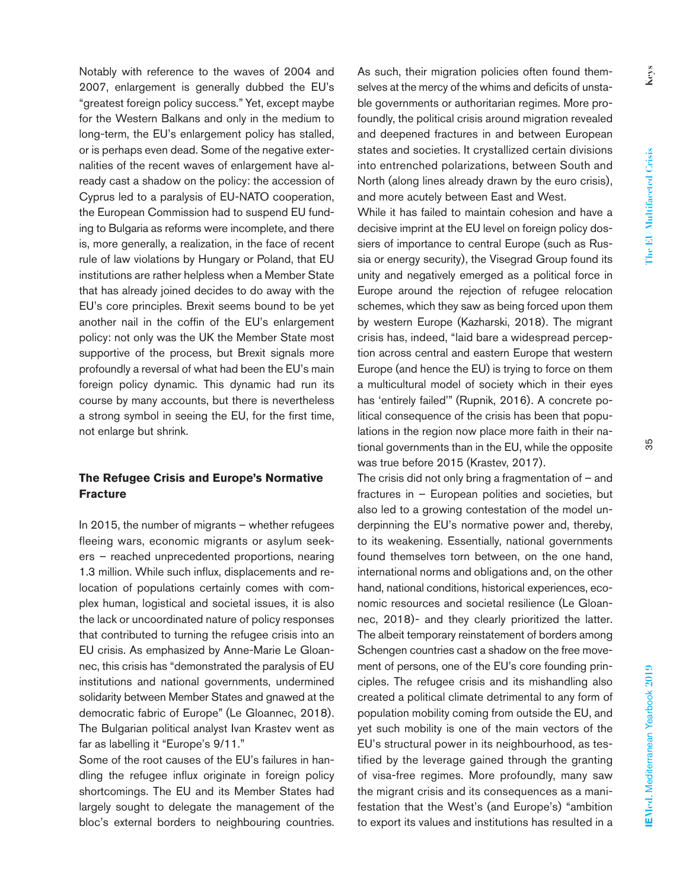Notably with reference to the waves of 2004 and 2007, enlargement is generally dubbed the EU's "greatest foreign policy success." Yet, except maybe for the Western Balkans and only in the medium to long-term, the EU's enlargement policy has stalled, or is perhaps even dead. Some of the negative externalities of the recent waves of enlargement have already cast a shadow on the policy: the accession of Cyprus led to a paralysis of EU-NATO cooperation, the European Commission had to suspend EU funding to Bulgaria as reforms were incomplete, and there is, more generally, a realization, in the face of recent rule of law violations by Hungary or Poland, that EU institutions are rather helpless when a Member State that has already joined decides to do away with the EU's core principles. Brexit seems bound to be yet another nail in the coffin of the EU's enlargement policy: not only was the UK the Member State most supportive of the process, but Brexit signals more profoundly a reversal of what had been the EU's main foreign policy dynamic. This dynamic had run its course by many accounts, but there is nevertheless a strong symbol in seeing the EU, for the first time, not enlarge but shrink.

#### **The Refugee Crisis and Europe's Normative Fracture**

In 2015, the number of migrants – whether refugees fleeing wars, economic migrants or asylum seekers – reached unprecedented proportions, nearing 1.3 million. While such influx, displacements and relocation of populations certainly comes with complex human, logistical and societal issues, it is also the lack or uncoordinated nature of policy responses that contributed to turning the refugee crisis into an EU crisis. As emphasized by Anne-Marie Le Gloannec, this crisis has "demonstrated the paralysis of EU institutions and national governments, undermined solidarity between Member States and gnawed at the democratic fabric of Europe" (Le Gloannec, 2018). The Bulgarian political analyst Ivan Krastev went as far as labelling it "Europe's 9/11."

Some of the root causes of the EU's failures in handling the refugee influx originate in foreign policy shortcomings. The EU and its Member States had largely sought to delegate the management of the bloc's external borders to neighbouring countries.

As such, their migration policies often found themselves at the mercy of the whims and deficits of unstable governments or authoritarian regimes. More profoundly, the political crisis around migration revealed and deepened fractures in and between European states and societies. It crystallized certain divisions into entrenched polarizations, between South and North (along lines already drawn by the euro crisis), and more acutely between East and West.

While it has failed to maintain cohesion and have a decisive imprint at the EU level on foreign policy dossiers of importance to central Europe (such as Russia or energy security), the Visegrad Group found its unity and negatively emerged as a political force in Europe around the rejection of refugee relocation schemes, which they saw as being forced upon them by western Europe (Kazharski, 2018). The migrant crisis has, indeed, "laid bare a widespread perception across central and eastern Europe that western Europe (and hence the EU) is trying to force on them a multicultural model of society which in their eyes has 'entirely failed'" (Rupnik, 2016). A concrete political consequence of the crisis has been that populations in the region now place more faith in their national governments than in the EU, while the opposite was true before 2015 (Krastev, 2017).

The crisis did not only bring a fragmentation of  $-$  and fractures in – European polities and societies, but also led to a growing contestation of the model underpinning the EU's normative power and, thereby, to its weakening. Essentially, national governments found themselves torn between, on the one hand, international norms and obligations and, on the other hand, national conditions, historical experiences, economic resources and societal resilience (Le Gloannec, 2018)- and they clearly prioritized the latter. The albeit temporary reinstatement of borders among Schengen countries cast a shadow on the free movement of persons, one of the EU's core founding principles. The refugee crisis and its mishandling also created a political climate detrimental to any form of population mobility coming from outside the EU, and yet such mobility is one of the main vectors of the EU's structural power in its neighbourhood, as testified by the leverage gained through the granting of visa-free regimes. More profoundly, many saw the migrant crisis and its consequences as a manifestation that the West's (and Europe's) "ambition to export its values and institutions has resulted in a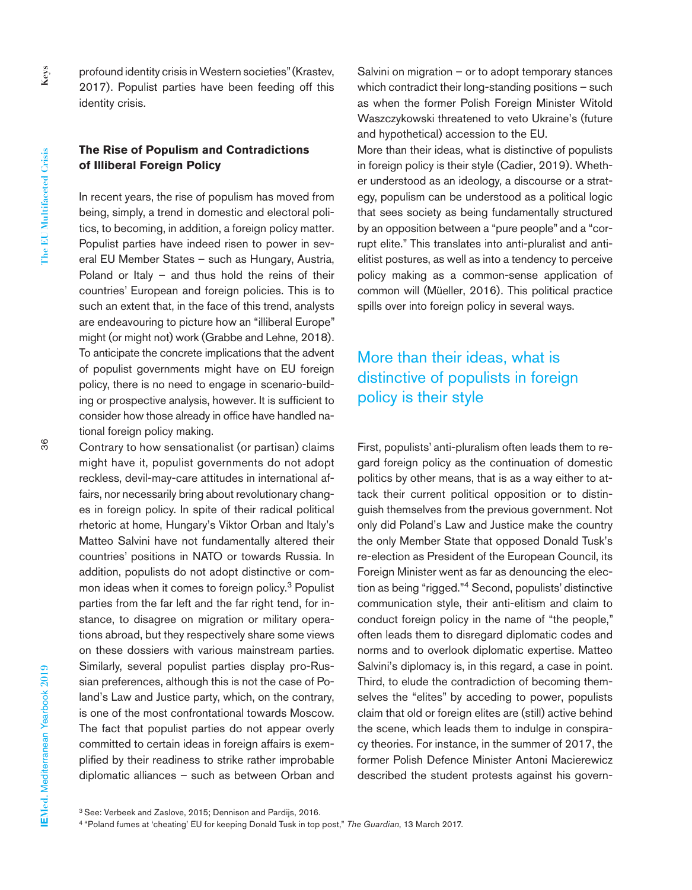profound identity crisis in Western societies" (Krastev, 2017). Populist parties have been feeding off this identity crisis.

#### **The Rise of Populism and Contradictions of Illiberal Foreign Policy**

In recent years, the rise of populism has moved from being, simply, a trend in domestic and electoral politics, to becoming, in addition, a foreign policy matter. Populist parties have indeed risen to power in several EU Member States – such as Hungary, Austria, Poland or Italy – and thus hold the reins of their countries' European and foreign policies. This is to such an extent that, in the face of this trend, analysts are endeavouring to picture how an "illiberal Europe" might (or might not) work (Grabbe and Lehne, 2018). To anticipate the concrete implications that the advent of populist governments might have on EU foreign policy, there is no need to engage in scenario-building or prospective analysis, however. It is sufficient to consider how those already in office have handled national foreign policy making.

Contrary to how sensationalist (or partisan) claims might have it, populist governments do not adopt reckless, devil-may-care attitudes in international affairs, nor necessarily bring about revolutionary changes in foreign policy. In spite of their radical political rhetoric at home, Hungary's Viktor Orban and Italy's Matteo Salvini have not fundamentally altered their countries' positions in NATO or towards Russia. In addition, populists do not adopt distinctive or common ideas when it comes to foreign policy.3 Populist parties from the far left and the far right tend, for instance, to disagree on migration or military operations abroad, but they respectively share some views on these dossiers with various mainstream parties. Similarly, several populist parties display pro-Russian preferences, although this is not the case of Poland's Law and Justice party, which, on the contrary, is one of the most confrontational towards Moscow. The fact that populist parties do not appear overly committed to certain ideas in foreign affairs is exemplified by their readiness to strike rather improbable diplomatic alliances – such as between Orban and

Salvini on migration – or to adopt temporary stances which contradict their long-standing positions – such as when the former Polish Foreign Minister Witold Waszczykowski threatened to veto Ukraine's (future and hypothetical) accession to the EU.

More than their ideas, what is distinctive of populists in foreign policy is their style (Cadier, 2019). Whether understood as an ideology, a discourse or a strategy, populism can be understood as a political logic that sees society as being fundamentally structured by an opposition between a "pure people" and a "corrupt elite." This translates into anti-pluralist and antielitist postures, as well as into a tendency to perceive policy making as a common-sense application of common will (Müeller, 2016). This political practice spills over into foreign policy in several ways.

## More than their ideas, what is distinctive of populists in foreign policy is their style

First, populists' anti-pluralism often leads them to regard foreign policy as the continuation of domestic politics by other means, that is as a way either to attack their current political opposition or to distinguish themselves from the previous government. Not only did Poland's Law and Justice make the country the only Member State that opposed Donald Tusk's re-election as President of the European Council, its Foreign Minister went as far as denouncing the election as being "rigged."4 Second, populists' distinctive communication style, their anti-elitism and claim to conduct foreign policy in the name of "the people," often leads them to disregard diplomatic codes and norms and to overlook diplomatic expertise. Matteo Salvini's diplomacy is, in this regard, a case in point. Third, to elude the contradiction of becoming themselves the "elites" by acceding to power, populists claim that old or foreign elites are (still) active behind the scene, which leads them to indulge in conspiracy theories. For instance, in the summer of 2017, the former Polish Defence Minister Antoni Macierewicz described the student protests against his govern-

36

<sup>3</sup> See: Verbeek and Zaslove, 2015; Dennison and Pardijs, 2016.

<sup>4 &</sup>quot;Poland fumes at 'cheating' EU for keeping Donald Tusk in top post," *The Guardian*, 13 March 2017.